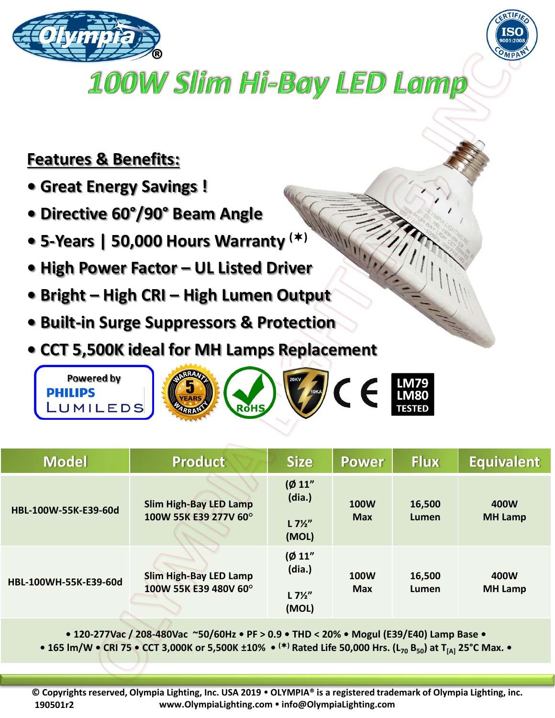



## **100W Slim Hi-Bay LED Lamp**

## **Features & Benefits:**

- **Great Energy Savings !**
- **Directive 60°/90° Beam Angle**
- **5-Years | 50,000 Hours Warranty ()**
- **High Power Factor – UL Listed Driver**
- **Bright – High CRI – High Lumen Output**
- **Built-in Surge Suppressors & Protection**
- **CCT 5,500K ideal for MH Lamps Replacement**



| <b>Model</b>          | <b>Product</b>                                         | <b>Size</b>                                   | Power                     | <b>Flux</b>     | <b>Equivalent</b>      |
|-----------------------|--------------------------------------------------------|-----------------------------------------------|---------------------------|-----------------|------------------------|
| HBL-100W-55K-E39-60d  | <b>Slim High-Bay LED Lamp</b><br>100W 55K E39 277V 60° | (Ø 11"<br>(dia.)<br>$L 7\frac{1}{2}$<br>(MOL) | <b>100W</b><br><b>Max</b> | 16,500<br>Lumen | 400W<br><b>MH Lamp</b> |
| HBL-100WH-55K-E39-60d | <b>Slim High-Bay LED Lamp</b><br>100W 55K E39 480V 60° | (Ø 11"<br>(dia.)<br>$L 7\frac{1}{2}$<br>(MOL) | <b>100W</b><br><b>Max</b> | 16,500<br>Lumen | 400W<br><b>MH Lamp</b> |

**• 120-277Vac / 208-480Vac ~50/60Hz • PF > 0.9 • THD < 20% • Mogul (E39/E40) Lamp Base •**

**• 165 lm/W • CRI 75 • CCT 3,000K or 5,500K ±10% • () Rated Life 50,000 Hrs. (L<sup>70</sup> B50) at T[A] 25°C Max. •**

**© Copyrights reserved, Olympia Lighting, Inc. USA 2019 OLYMPIA® is a registered trademark of Olympia Lighting, inc. www.OlympiaLighting.com info@OlympiaLighting.com 190501r2**